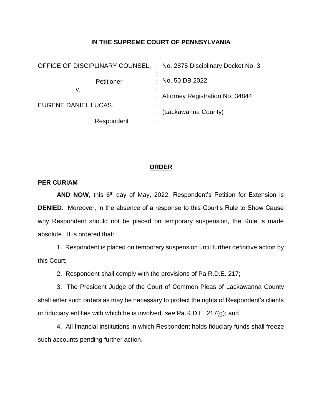## **IN THE SUPREME COURT OF PENNSYLVANIA**

| OFFICE OF DISCIPLINARY COUNSEL, : No. 2875 Disciplinary Docket No. 3 |                                   |
|----------------------------------------------------------------------|-----------------------------------|
| Petitioner                                                           | $\cdot$ No. 50 DB 2022            |
| v.                                                                   | : Attorney Registration No. 34844 |
| EUGENE DANIEL LUCAS,                                                 | $\cdot$ (Lackawanna County)       |
| Respondent                                                           | ٠                                 |

## **ORDER**

## **PER CURIAM**

AND NOW, this 6<sup>th</sup> day of May, 2022, Respondent's Petition for Extension is **DENIED**. Moreover, in the absence of a response to this Court's Rule to Show Cause why Respondent should not be placed on temporary suspension, the Rule is made absolute. It is ordered that:

1. Respondent is placed on temporary suspension until further definitive action by this Court;

2. Respondent shall comply with the provisions of Pa.R.D.E. 217;

3. The President Judge of the Court of Common Pleas of Lackawanna County shall enter such orders as may be necessary to protect the rights of Respondent's clients or fiduciary entities with which he is involved, *see* Pa.R.D.E. 217(g); and

4. All financial institutions in which Respondent holds fiduciary funds shall freeze such accounts pending further action.